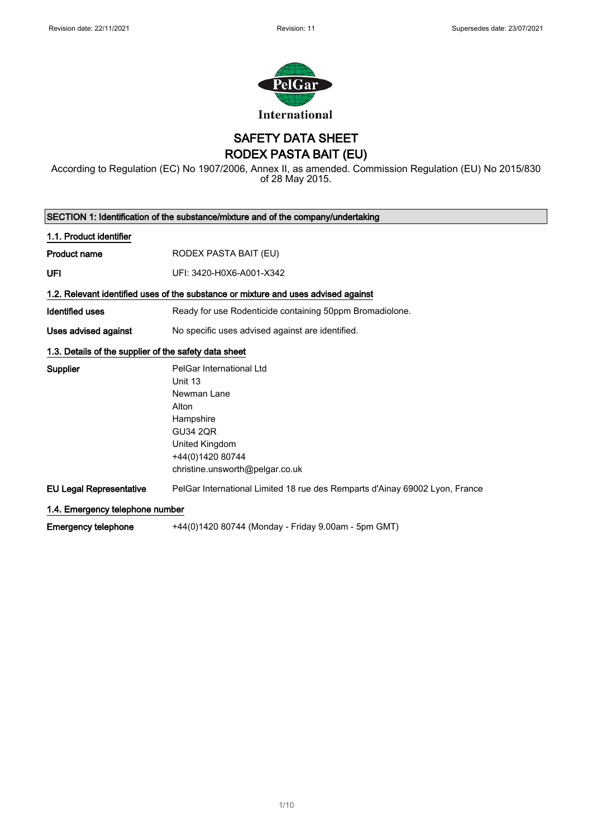

SAFETY DATA SHEET RODEX PASTA BAIT (EU)

According to Regulation (EC) No 1907/2006, Annex II, as amended. Commission Regulation (EU) No 2015/830 of 28 May 2015.

|                                                       | SECTION 1: Identification of the substance/mixture and of the company/undertaking                                                                                    |
|-------------------------------------------------------|----------------------------------------------------------------------------------------------------------------------------------------------------------------------|
| 1.1. Product identifier                               |                                                                                                                                                                      |
| <b>Product name</b>                                   | RODEX PASTA BAIT (EU)                                                                                                                                                |
| UFI                                                   | UFI: 3420-H0X6-A001-X342                                                                                                                                             |
|                                                       | 1.2. Relevant identified uses of the substance or mixture and uses advised against                                                                                   |
| <b>Identified uses</b>                                | Ready for use Rodenticide containing 50ppm Bromadiolone.                                                                                                             |
| Uses advised against                                  | No specific uses advised against are identified.                                                                                                                     |
| 1.3. Details of the supplier of the safety data sheet |                                                                                                                                                                      |
| <b>Supplier</b>                                       | PelGar International Ltd<br>Unit 13<br>Newman Lane<br>Alton<br>Hampshire<br><b>GU34 2QR</b><br>United Kingdom<br>+44(0)1420 80744<br>christine.unsworth@pelgar.co.uk |
| <b>EU Legal Representative</b>                        | PelGar International Limited 18 rue des Remparts d'Ainay 69002 Lyon, France                                                                                          |
| 1.4. Emergency telephone number                       |                                                                                                                                                                      |
| <b>Emergency telephone</b>                            | +44(0)1420 80744 (Monday - Friday 9.00am - 5pm GMT)                                                                                                                  |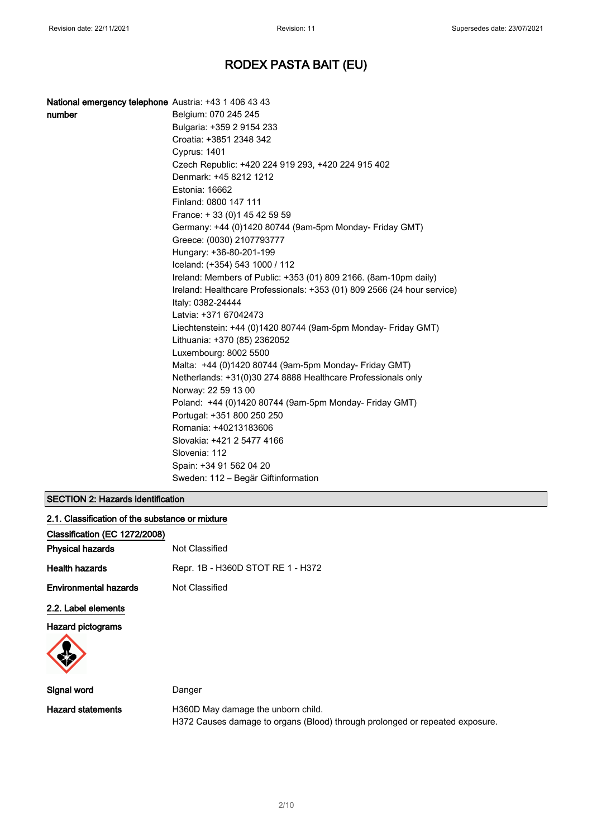| National emergency telephone Austria: +43 1 406 43 43 |                                                                         |
|-------------------------------------------------------|-------------------------------------------------------------------------|
| number                                                | Belgium: 070 245 245                                                    |
|                                                       | Bulgaria: +359 2 9154 233                                               |
|                                                       | Croatia: +3851 2348 342                                                 |
|                                                       | <b>Cyprus: 1401</b>                                                     |
|                                                       | Czech Republic: +420 224 919 293, +420 224 915 402                      |
|                                                       | Denmark: +45 8212 1212                                                  |
|                                                       | Estonia: 16662                                                          |
|                                                       | Finland: 0800 147 111                                                   |
|                                                       | France: +33 (0) 145 42 59 59                                            |
|                                                       | Germany: +44 (0)1420 80744 (9am-5pm Monday- Friday GMT)                 |
|                                                       | Greece: (0030) 2107793777                                               |
|                                                       | Hungary: +36-80-201-199                                                 |
|                                                       | Iceland: (+354) 543 1000 / 112                                          |
|                                                       | Ireland: Members of Public: +353 (01) 809 2166. (8am-10pm daily)        |
|                                                       | Ireland: Healthcare Professionals: +353 (01) 809 2566 (24 hour service) |
|                                                       | Italy: 0382-24444                                                       |
|                                                       | Latvia: +371 67042473                                                   |
|                                                       | Liechtenstein: +44 (0)1420 80744 (9am-5pm Monday- Friday GMT)           |
|                                                       | Lithuania: +370 (85) 2362052                                            |
|                                                       | Luxembourg: 8002 5500                                                   |
|                                                       | Malta: +44 (0)1420 80744 (9am-5pm Monday- Friday GMT)                   |
|                                                       | Netherlands: +31(0)30 274 8888 Healthcare Professionals only            |
|                                                       | Norway: 22 59 13 00                                                     |
|                                                       | Poland: +44 (0)1420 80744 (9am-5pm Monday- Friday GMT)                  |
|                                                       | Portugal: +351 800 250 250                                              |
|                                                       | Romania: +40213183606                                                   |
|                                                       | Slovakia: +421 2 5477 4166                                              |
|                                                       | Slovenia: 112                                                           |
|                                                       | Spain: +34 91 562 04 20                                                 |
|                                                       | Sweden: 112 - Begär Giftinformation                                     |
|                                                       |                                                                         |

## SECTION 2: Hazards identification

| 2.1. Classification of the substance or mixture |                                   |
|-------------------------------------------------|-----------------------------------|
| Classification (EC 1272/2008)                   |                                   |
| <b>Physical hazards</b>                         | Not Classified                    |
| <b>Health hazards</b>                           | Repr. 1B - H360D STOT RE 1 - H372 |
| <b>Environmental hazards</b>                    | Not Classified                    |
| 2.2. Label elements                             |                                   |
| <b>Hazard pictograms</b>                        |                                   |
|                                                 |                                   |
| .                                               |                                   |

| Signal word       | Danger                                                                       |
|-------------------|------------------------------------------------------------------------------|
| Hazard statements | H360D May damage the unborn child.                                           |
|                   | H372 Causes damage to organs (Blood) through prolonged or repeated exposure. |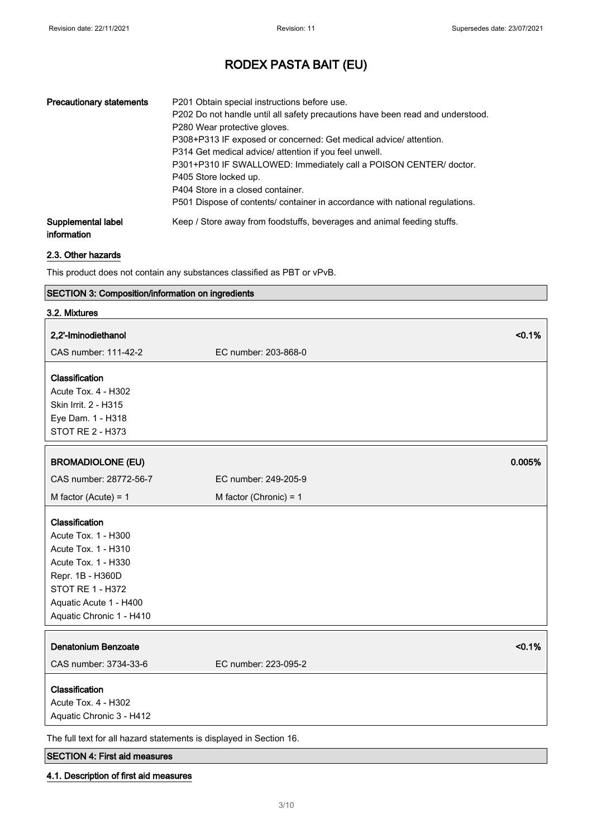| <b>Precautionary statements</b>   | P201 Obtain special instructions before use.<br>P202 Do not handle until all safety precautions have been read and understood.<br>P280 Wear protective gloves.<br>P308+P313 IF exposed or concerned: Get medical advice/ attention.<br>P314 Get medical advice/ attention if you feel unwell.<br>P301+P310 IF SWALLOWED: Immediately call a POISON CENTER/ doctor.<br>P405 Store locked up.<br>P404 Store in a closed container.<br>P501 Dispose of contents/ container in accordance with national regulations. |
|-----------------------------------|------------------------------------------------------------------------------------------------------------------------------------------------------------------------------------------------------------------------------------------------------------------------------------------------------------------------------------------------------------------------------------------------------------------------------------------------------------------------------------------------------------------|
| Supplemental label<br>information | Keep / Store away from foodstuffs, beverages and animal feeding stuffs.                                                                                                                                                                                                                                                                                                                                                                                                                                          |

### 2.3. Other hazards

This product does not contain any substances classified as PBT or vPvB.

### SECTION 3: Composition/information on ingredients

| 3.2. Mixtures                                                                                                                                                                            |                                |
|------------------------------------------------------------------------------------------------------------------------------------------------------------------------------------------|--------------------------------|
| 2,2'-Iminodiethanol                                                                                                                                                                      | < 0.1%                         |
| CAS number: 111-42-2                                                                                                                                                                     | EC number: 203-868-0           |
| Classification<br>Acute Tox. 4 - H302<br>Skin Irrit. 2 - H315<br>Eye Dam. 1 - H318<br>STOT RE 2 - H373                                                                                   |                                |
| <b>BROMADIOLONE (EU)</b>                                                                                                                                                                 | 0.005%                         |
| CAS number: 28772-56-7                                                                                                                                                                   | EC number: 249-205-9           |
| M factor (Acute) = $1$                                                                                                                                                                   | M factor (Chronic) = $1$       |
| Classification<br>Acute Tox. 1 - H300<br>Acute Tox. 1 - H310<br>Acute Tox. 1 - H330<br>Repr. 1B - H360D<br><b>STOT RE 1 - H372</b><br>Aquatic Acute 1 - H400<br>Aquatic Chronic 1 - H410 |                                |
| <b>Denatonium Benzoate</b><br>CAS number: 3734-33-6                                                                                                                                      | < 0.1%<br>EC number: 223-095-2 |
| Classification<br>Acute Tox. 4 - H302<br>Aquatic Chronic 3 - H412                                                                                                                        |                                |
| The full text for all hazard statements is displayed in Section 16.                                                                                                                      |                                |

### SECTION 4: First aid measures

### 4.1. Description of first aid measures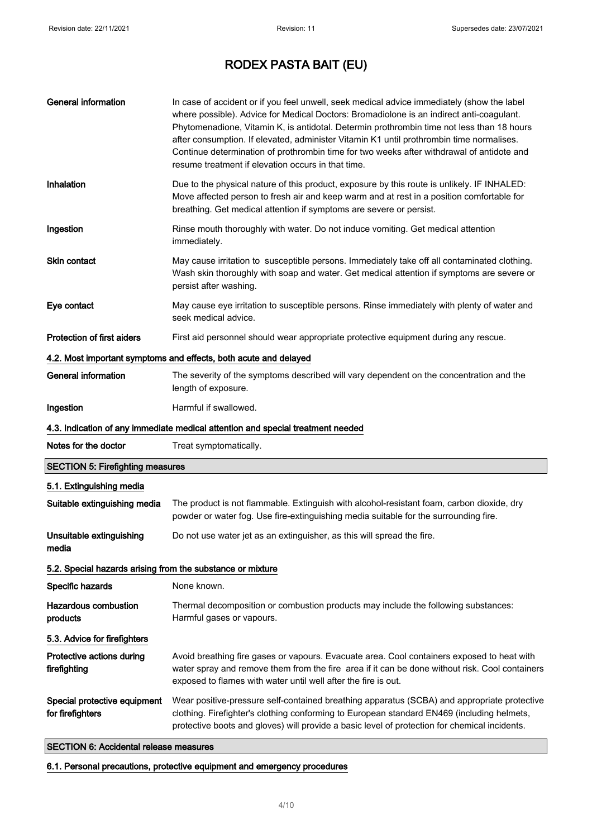| <b>General information</b>                                 | In case of accident or if you feel unwell, seek medical advice immediately (show the label<br>where possible). Advice for Medical Doctors: Bromadiolone is an indirect anti-coagulant.<br>Phytomenadione, Vitamin K, is antidotal. Determin prothrombin time not less than 18 hours<br>after consumption. If elevated, administer Vitamin K1 until prothrombin time normalises.<br>Continue determination of prothrombin time for two weeks after withdrawal of antidote and<br>resume treatment if elevation occurs in that time. |
|------------------------------------------------------------|------------------------------------------------------------------------------------------------------------------------------------------------------------------------------------------------------------------------------------------------------------------------------------------------------------------------------------------------------------------------------------------------------------------------------------------------------------------------------------------------------------------------------------|
| Inhalation                                                 | Due to the physical nature of this product, exposure by this route is unlikely. IF INHALED:<br>Move affected person to fresh air and keep warm and at rest in a position comfortable for<br>breathing. Get medical attention if symptoms are severe or persist.                                                                                                                                                                                                                                                                    |
| Ingestion                                                  | Rinse mouth thoroughly with water. Do not induce vomiting. Get medical attention<br>immediately.                                                                                                                                                                                                                                                                                                                                                                                                                                   |
| <b>Skin contact</b>                                        | May cause irritation to susceptible persons. Immediately take off all contaminated clothing.<br>Wash skin thoroughly with soap and water. Get medical attention if symptoms are severe or<br>persist after washing.                                                                                                                                                                                                                                                                                                                |
| Eye contact                                                | May cause eye irritation to susceptible persons. Rinse immediately with plenty of water and<br>seek medical advice.                                                                                                                                                                                                                                                                                                                                                                                                                |
| <b>Protection of first aiders</b>                          | First aid personnel should wear appropriate protective equipment during any rescue.                                                                                                                                                                                                                                                                                                                                                                                                                                                |
|                                                            | 4.2. Most important symptoms and effects, both acute and delayed                                                                                                                                                                                                                                                                                                                                                                                                                                                                   |
| <b>General information</b>                                 | The severity of the symptoms described will vary dependent on the concentration and the<br>length of exposure.                                                                                                                                                                                                                                                                                                                                                                                                                     |
| Ingestion                                                  | Harmful if swallowed.                                                                                                                                                                                                                                                                                                                                                                                                                                                                                                              |
|                                                            | 4.3. Indication of any immediate medical attention and special treatment needed                                                                                                                                                                                                                                                                                                                                                                                                                                                    |
| Notes for the doctor                                       | Treat symptomatically.                                                                                                                                                                                                                                                                                                                                                                                                                                                                                                             |
| <b>SECTION 5: Firefighting measures</b>                    |                                                                                                                                                                                                                                                                                                                                                                                                                                                                                                                                    |
| 5.1. Extinguishing media                                   |                                                                                                                                                                                                                                                                                                                                                                                                                                                                                                                                    |
| Suitable extinguishing media                               | The product is not flammable. Extinguish with alcohol-resistant foam, carbon dioxide, dry<br>powder or water fog. Use fire-extinguishing media suitable for the surrounding fire.                                                                                                                                                                                                                                                                                                                                                  |
| Unsuitable extinguishing<br>media                          | Do not use water jet as an extinguisher, as this will spread the fire.                                                                                                                                                                                                                                                                                                                                                                                                                                                             |
| 5.2. Special hazards arising from the substance or mixture |                                                                                                                                                                                                                                                                                                                                                                                                                                                                                                                                    |
| Specific hazards                                           | None known.                                                                                                                                                                                                                                                                                                                                                                                                                                                                                                                        |
| <b>Hazardous combustion</b><br>products                    | Thermal decomposition or combustion products may include the following substances:<br>Harmful gases or vapours.                                                                                                                                                                                                                                                                                                                                                                                                                    |
| 5.3. Advice for firefighters                               |                                                                                                                                                                                                                                                                                                                                                                                                                                                                                                                                    |
| Protective actions during<br>firefighting                  | Avoid breathing fire gases or vapours. Evacuate area. Cool containers exposed to heat with<br>water spray and remove them from the fire area if it can be done without risk. Cool containers<br>exposed to flames with water until well after the fire is out.                                                                                                                                                                                                                                                                     |
| Special protective equipment<br>for firefighters           | Wear positive-pressure self-contained breathing apparatus (SCBA) and appropriate protective<br>clothing. Firefighter's clothing conforming to European standard EN469 (including helmets,<br>protective boots and gloves) will provide a basic level of protection for chemical incidents.                                                                                                                                                                                                                                         |

### SECTION 6: Accidental release measures

### 6.1. Personal precautions, protective equipment and emergency procedures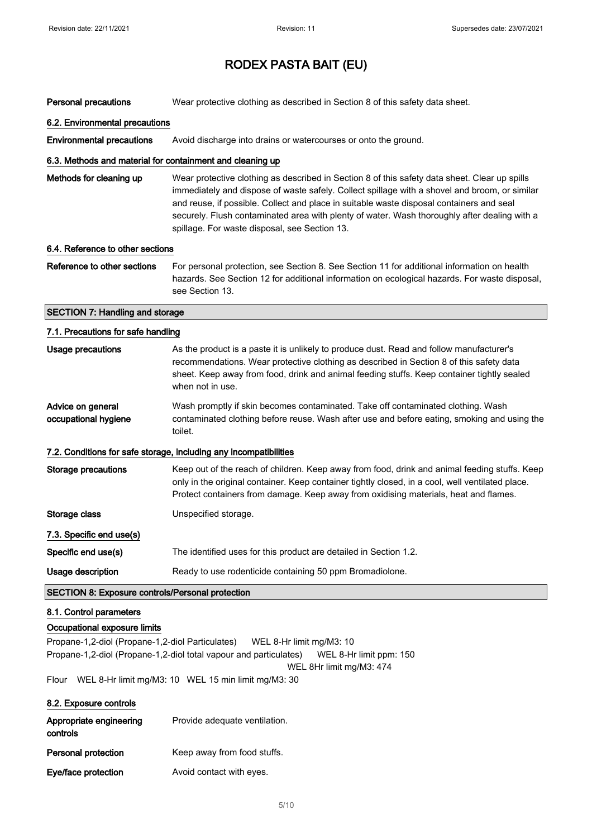| Personal precautions                                                                                                | Wear protective clothing as described in Section 8 of this safety data sheet.                                                                                                                                                                                                                                                                                                                                                               |
|---------------------------------------------------------------------------------------------------------------------|---------------------------------------------------------------------------------------------------------------------------------------------------------------------------------------------------------------------------------------------------------------------------------------------------------------------------------------------------------------------------------------------------------------------------------------------|
| 6.2. Environmental precautions                                                                                      |                                                                                                                                                                                                                                                                                                                                                                                                                                             |
| <b>Environmental precautions</b>                                                                                    | Avoid discharge into drains or watercourses or onto the ground.                                                                                                                                                                                                                                                                                                                                                                             |
| 6.3. Methods and material for containment and cleaning up                                                           |                                                                                                                                                                                                                                                                                                                                                                                                                                             |
| Methods for cleaning up                                                                                             | Wear protective clothing as described in Section 8 of this safety data sheet. Clear up spills<br>immediately and dispose of waste safely. Collect spillage with a shovel and broom, or similar<br>and reuse, if possible. Collect and place in suitable waste disposal containers and seal<br>securely. Flush contaminated area with plenty of water. Wash thoroughly after dealing with a<br>spillage. For waste disposal, see Section 13. |
| 6.4. Reference to other sections                                                                                    |                                                                                                                                                                                                                                                                                                                                                                                                                                             |
| Reference to other sections                                                                                         | For personal protection, see Section 8. See Section 11 for additional information on health<br>hazards. See Section 12 for additional information on ecological hazards. For waste disposal,<br>see Section 13.                                                                                                                                                                                                                             |
| <b>SECTION 7: Handling and storage</b>                                                                              |                                                                                                                                                                                                                                                                                                                                                                                                                                             |
| 7.1. Precautions for safe handling                                                                                  |                                                                                                                                                                                                                                                                                                                                                                                                                                             |
| <b>Usage precautions</b>                                                                                            | As the product is a paste it is unlikely to produce dust. Read and follow manufacturer's<br>recommendations. Wear protective clothing as described in Section 8 of this safety data<br>sheet. Keep away from food, drink and animal feeding stuffs. Keep container tightly sealed<br>when not in use.                                                                                                                                       |
| Advice on general<br>occupational hygiene                                                                           | Wash promptly if skin becomes contaminated. Take off contaminated clothing. Wash<br>contaminated clothing before reuse. Wash after use and before eating, smoking and using the<br>toilet.                                                                                                                                                                                                                                                  |
|                                                                                                                     | 7.2. Conditions for safe storage, including any incompatibilities                                                                                                                                                                                                                                                                                                                                                                           |
| <b>Storage precautions</b>                                                                                          | Keep out of the reach of children. Keep away from food, drink and animal feeding stuffs. Keep<br>only in the original container. Keep container tightly closed, in a cool, well ventilated place.<br>Protect containers from damage. Keep away from oxidising materials, heat and flames.                                                                                                                                                   |
| Storage class                                                                                                       | Unspecified storage.                                                                                                                                                                                                                                                                                                                                                                                                                        |
| 7.3. Specific end use(s)                                                                                            |                                                                                                                                                                                                                                                                                                                                                                                                                                             |
| Specific end use(s)                                                                                                 | The identified uses for this product are detailed in Section 1.2.                                                                                                                                                                                                                                                                                                                                                                           |
| Usage description                                                                                                   | Ready to use rodenticide containing 50 ppm Bromadiolone.                                                                                                                                                                                                                                                                                                                                                                                    |
| <b>SECTION 8: Exposure controls/Personal protection</b>                                                             |                                                                                                                                                                                                                                                                                                                                                                                                                                             |
| 8.1. Control parameters                                                                                             |                                                                                                                                                                                                                                                                                                                                                                                                                                             |
| Occupational exposure limits<br>Propane-1,2-diol (Propane-1,2-diol Particulates)<br>Flour<br>8.2. Exposure controls | WEL 8-Hr limit mg/M3: 10<br>Propane-1,2-diol (Propane-1,2-diol total vapour and particulates)<br>WEL 8-Hr limit ppm: 150<br>WEL 8Hr limit mg/M3: 474<br>WEL 8-Hr limit mg/M3: 10 WEL 15 min limit mg/M3: 30                                                                                                                                                                                                                                 |
| Appropriate engineering<br>controls                                                                                 | Provide adequate ventilation.                                                                                                                                                                                                                                                                                                                                                                                                               |

Personal protection Keep away from food stuffs.

Eye/face protection **Avoid contact with eyes.**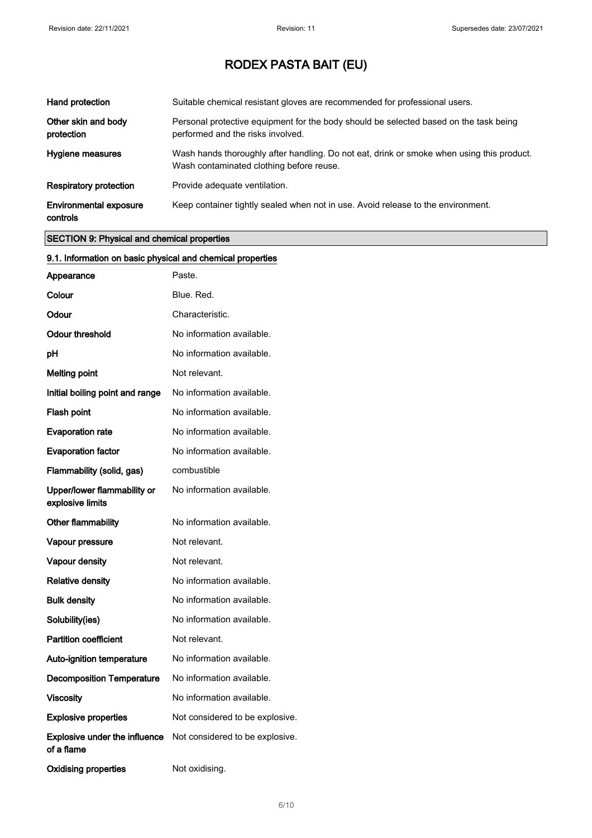| Hand protection                           | Suitable chemical resistant gloves are recommended for professional users.                                                            |
|-------------------------------------------|---------------------------------------------------------------------------------------------------------------------------------------|
| Other skin and body<br>protection         | Personal protective equipment for the body should be selected based on the task being<br>performed and the risks involved.            |
| Hygiene measures                          | Wash hands thoroughly after handling. Do not eat, drink or smoke when using this product.<br>Wash contaminated clothing before reuse. |
| <b>Respiratory protection</b>             | Provide adequate ventilation.                                                                                                         |
| <b>Environmental exposure</b><br>controls | Keep container tightly sealed when not in use. Avoid release to the environment.                                                      |

### SECTION 9: Physical and chemical properties

| 9.1. Information on basic physical and chemical properties |                                 |
|------------------------------------------------------------|---------------------------------|
| Appearance                                                 | Paste.                          |
| Colour                                                     | Blue. Red.                      |
| Odour                                                      | Characteristic.                 |
| <b>Odour threshold</b>                                     | No information available.       |
| рH                                                         | No information available.       |
| <b>Melting point</b>                                       | Not relevant.                   |
| Initial boiling point and range                            | No information available.       |
| Flash point                                                | No information available.       |
| <b>Evaporation rate</b>                                    | No information available.       |
| <b>Evaporation factor</b>                                  | No information available.       |
| Flammability (solid, gas)                                  | combustible                     |
| Upper/lower flammability or<br>explosive limits            | No information available.       |
| Other flammability                                         | No information available.       |
| Vapour pressure                                            | Not relevant.                   |
| Vapour density                                             | Not relevant.                   |
| <b>Relative density</b>                                    | No information available.       |
| <b>Bulk density</b>                                        | No information available.       |
| Solubility(ies)                                            | No information available.       |
| <b>Partition coefficient</b>                               | Not relevant.                   |
| Auto-ignition temperature                                  | No information available.       |
| <b>Decomposition Temperature</b>                           | No information available.       |
| <b>Viscosity</b>                                           | No information available.       |
| <b>Explosive properties</b>                                | Not considered to be explosive. |
| Explosive under the influence<br>of a flame                | Not considered to be explosive. |
| <b>Oxidising properties</b>                                | Not oxidising.                  |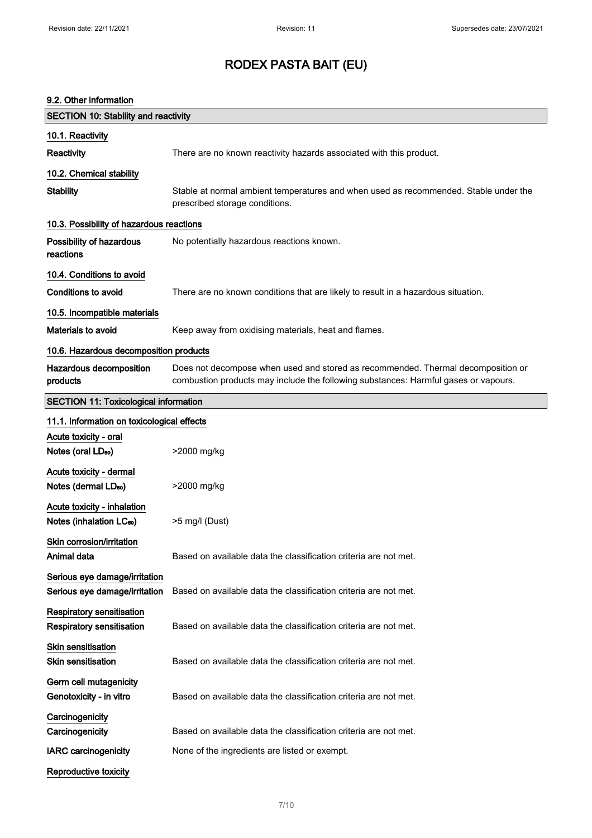### 9.2. Other information

| <b>VUIVE HIIVIIIKUV</b>                                              |                                                                                                                                                                         |
|----------------------------------------------------------------------|-------------------------------------------------------------------------------------------------------------------------------------------------------------------------|
| <b>SECTION 10: Stability and reactivity</b>                          |                                                                                                                                                                         |
| 10.1. Reactivity                                                     |                                                                                                                                                                         |
| Reactivity                                                           | There are no known reactivity hazards associated with this product.                                                                                                     |
| 10.2. Chemical stability                                             |                                                                                                                                                                         |
| <b>Stability</b>                                                     | Stable at normal ambient temperatures and when used as recommended. Stable under the<br>prescribed storage conditions.                                                  |
| 10.3. Possibility of hazardous reactions                             |                                                                                                                                                                         |
| Possibility of hazardous<br>reactions                                | No potentially hazardous reactions known.                                                                                                                               |
| 10.4. Conditions to avoid                                            |                                                                                                                                                                         |
| <b>Conditions to avoid</b>                                           | There are no known conditions that are likely to result in a hazardous situation.                                                                                       |
| 10.5. Incompatible materials                                         |                                                                                                                                                                         |
| <b>Materials to avoid</b>                                            | Keep away from oxidising materials, heat and flames.                                                                                                                    |
| 10.6. Hazardous decomposition products                               |                                                                                                                                                                         |
| Hazardous decomposition<br>products                                  | Does not decompose when used and stored as recommended. Thermal decomposition or<br>combustion products may include the following substances: Harmful gases or vapours. |
| <b>SECTION 11: Toxicological information</b>                         |                                                                                                                                                                         |
| 11.1. Information on toxicological effects                           |                                                                                                                                                                         |
| Acute toxicity - oral                                                |                                                                                                                                                                         |
| Notes (oral LD <sub>50</sub> )                                       | >2000 mg/kg                                                                                                                                                             |
| Acute toxicity - dermal<br>Notes (dermal LD <sub>50</sub> )          | >2000 mg/kg                                                                                                                                                             |
| Acute toxicity - inhalation<br>Notes (inhalation LC <sub>50</sub> )  | >5 mg/l (Dust)                                                                                                                                                          |
| Skin corrosion/irritation<br>Animal data                             | Based on available data the classification criteria are not met.                                                                                                        |
| Serious eye damage/irritation<br>Serious eye damage/irritation       | Based on available data the classification criteria are not met.                                                                                                        |
| <b>Respiratory sensitisation</b><br><b>Respiratory sensitisation</b> | Based on available data the classification criteria are not met.                                                                                                        |
| <b>Skin sensitisation</b><br><b>Skin sensitisation</b>               | Based on available data the classification criteria are not met.                                                                                                        |
| Germ cell mutagenicity<br>Genotoxicity - in vitro                    | Based on available data the classification criteria are not met.                                                                                                        |
| Carcinogenicity                                                      |                                                                                                                                                                         |
| Carcinogenicity                                                      | Based on available data the classification criteria are not met.                                                                                                        |
| <b>IARC</b> carcinogenicity                                          | None of the ingredients are listed or exempt.                                                                                                                           |
| Reproductive toxicity                                                |                                                                                                                                                                         |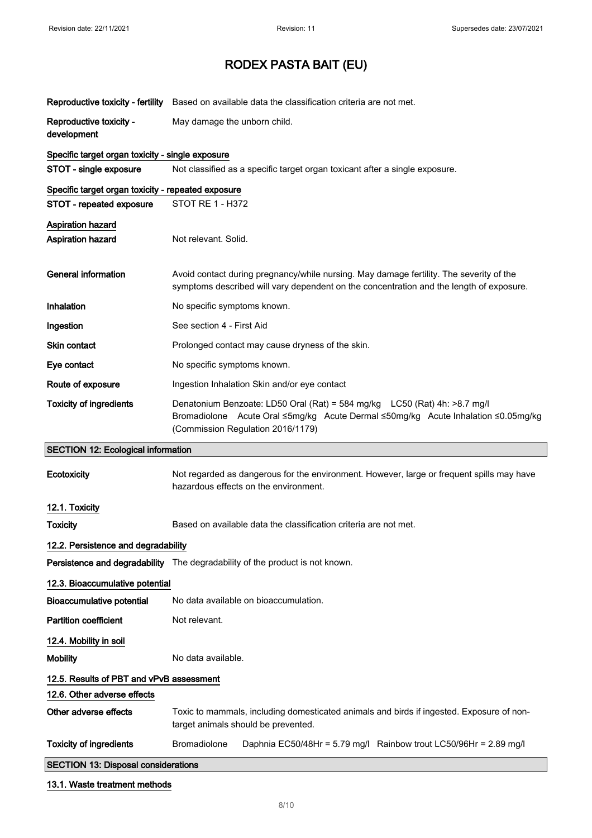|                                                                                | Reproductive toxicity - fertility Based on available data the classification criteria are not met.                                                                                                   |
|--------------------------------------------------------------------------------|------------------------------------------------------------------------------------------------------------------------------------------------------------------------------------------------------|
| Reproductive toxicity -<br>development                                         | May damage the unborn child.                                                                                                                                                                         |
| Specific target organ toxicity - single exposure                               |                                                                                                                                                                                                      |
| STOT - single exposure                                                         | Not classified as a specific target organ toxicant after a single exposure.                                                                                                                          |
| Specific target organ toxicity - repeated exposure<br>STOT - repeated exposure | STOT RE 1 - H372                                                                                                                                                                                     |
| <b>Aspiration hazard</b><br><b>Aspiration hazard</b>                           | Not relevant. Solid.                                                                                                                                                                                 |
| <b>General information</b>                                                     | Avoid contact during pregnancy/while nursing. May damage fertility. The severity of the<br>symptoms described will vary dependent on the concentration and the length of exposure.                   |
| Inhalation                                                                     | No specific symptoms known.                                                                                                                                                                          |
| Ingestion                                                                      | See section 4 - First Aid                                                                                                                                                                            |
| Skin contact                                                                   | Prolonged contact may cause dryness of the skin.                                                                                                                                                     |
| Eye contact                                                                    | No specific symptoms known.                                                                                                                                                                          |
| Route of exposure                                                              | Ingestion Inhalation Skin and/or eye contact                                                                                                                                                         |
| <b>Toxicity of ingredients</b>                                                 | Denatonium Benzoate: LD50 Oral (Rat) = 584 mg/kg  LC50 (Rat) 4h: >8.7 mg/l<br>Bromadiolone Acute Oral ≤5mg/kg Acute Dermal ≤50mg/kg Acute Inhalation ≤0.05mg/kg<br>(Commission Regulation 2016/1179) |
|                                                                                |                                                                                                                                                                                                      |
| <b>SECTION 12: Ecological information</b>                                      |                                                                                                                                                                                                      |
| Ecotoxicity                                                                    | Not regarded as dangerous for the environment. However, large or frequent spills may have<br>hazardous effects on the environment.                                                                   |
| 12.1. Toxicity                                                                 |                                                                                                                                                                                                      |
| <b>Toxicity</b>                                                                | Based on available data the classification criteria are not met.                                                                                                                                     |
| 12.2. Persistence and degradability                                            |                                                                                                                                                                                                      |
|                                                                                | Persistence and degradability The degradability of the product is not known.                                                                                                                         |
| 12.3. Bioaccumulative potential                                                |                                                                                                                                                                                                      |
| <b>Bioaccumulative potential</b>                                               | No data available on bioaccumulation.                                                                                                                                                                |
| <b>Partition coefficient</b>                                                   | Not relevant.                                                                                                                                                                                        |
| 12.4. Mobility in soil                                                         |                                                                                                                                                                                                      |
| <b>Mobility</b>                                                                | No data available.                                                                                                                                                                                   |
| 12.5. Results of PBT and vPvB assessment                                       |                                                                                                                                                                                                      |
| 12.6. Other adverse effects                                                    |                                                                                                                                                                                                      |
| Other adverse effects                                                          | Toxic to mammals, including domesticated animals and birds if ingested. Exposure of non-<br>target animals should be prevented.                                                                      |
| <b>Toxicity of ingredients</b>                                                 | <b>Bromadiolone</b><br>Daphnia EC50/48Hr = 5.79 mg/l Rainbow trout LC50/96Hr = 2.89 mg/l                                                                                                             |
| <b>SECTION 13: Disposal considerations</b>                                     |                                                                                                                                                                                                      |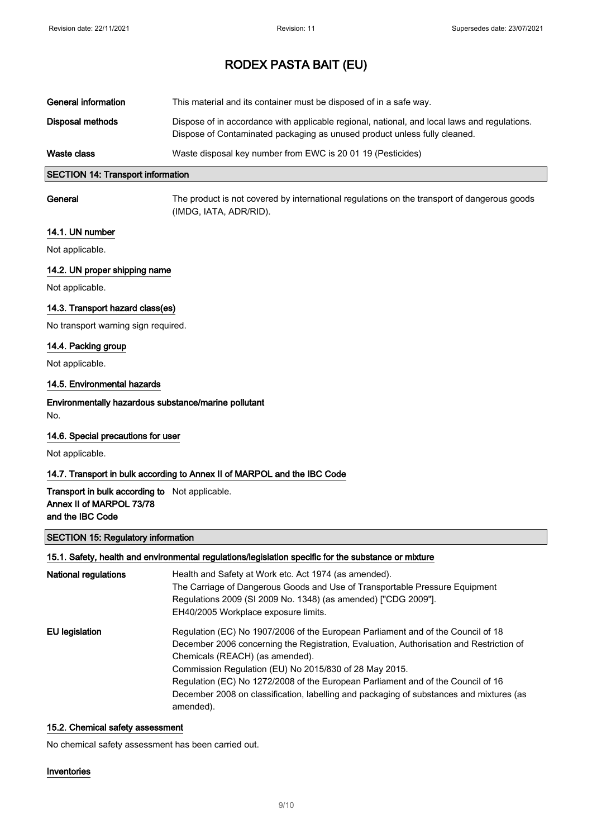| General information | This material and its container must be disposed of in a safe way.                                                                                                        |
|---------------------|---------------------------------------------------------------------------------------------------------------------------------------------------------------------------|
| Disposal methods    | Dispose of in accordance with applicable regional, national, and local laws and regulations.<br>Dispose of Contaminated packaging as unused product unless fully cleaned. |
| Waste class         | Waste disposal key number from EWC is 20 01 19 (Pesticides)                                                                                                               |

### SECTION 14: Transport information

General The product is not covered by international regulations on the transport of dangerous goods (IMDG, IATA, ADR/RID).

### 14.1. UN number

Not applicable.

### 14.2. UN proper shipping name

Not applicable.

### 14.3. Transport hazard class(es)

No transport warning sign required.

### 14.4. Packing group

Not applicable.

### 14.5. Environmental hazards

## Environmentally hazardous substance/marine pollutant

No.

### 14.6. Special precautions for user

Not applicable.

### 14.7. Transport in bulk according to Annex II of MARPOL and the IBC Code

### Transport in bulk according to Not applicable. Annex II of MARPOL 73/78 and the IBC Code

### SECTION 15: Regulatory information

### 15.1. Safety, health and environmental regulations/legislation specific for the substance or mixture

| National regulations | Health and Safety at Work etc. Act 1974 (as amended).<br>The Carriage of Dangerous Goods and Use of Transportable Pressure Equipment<br>Regulations 2009 (SI 2009 No. 1348) (as amended) ["CDG 2009"].<br>EH40/2005 Workplace exposure limits.     |
|----------------------|----------------------------------------------------------------------------------------------------------------------------------------------------------------------------------------------------------------------------------------------------|
| EU legislation       | Regulation (EC) No 1907/2006 of the European Parliament and of the Council of 18<br>December 2006 concerning the Registration, Evaluation, Authorisation and Restriction of<br>Chemicals (REACH) (as amended).                                     |
|                      | Commission Regulation (EU) No 2015/830 of 28 May 2015.<br>Regulation (EC) No 1272/2008 of the European Parliament and of the Council of 16<br>December 2008 on classification, labelling and packaging of substances and mixtures (as<br>amended). |

### 15.2. Chemical safety assessment

No chemical safety assessment has been carried out.

### Inventories